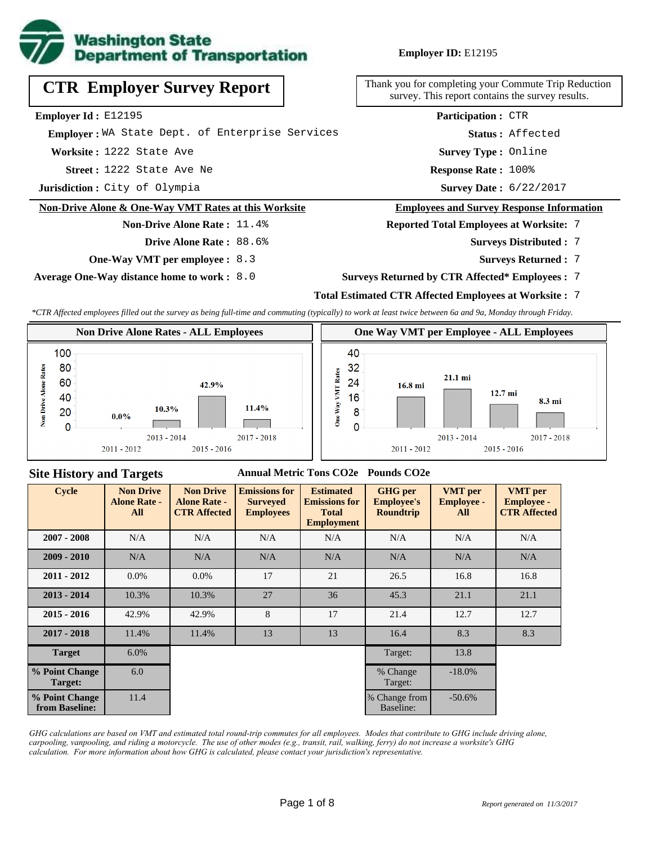

**Employer ID:** E12195

| <b>CTR Employer Survey Report</b>                    | Thank you for completing your Commute Trip<br>survey. This report contains the survey re |  |  |  |
|------------------------------------------------------|------------------------------------------------------------------------------------------|--|--|--|
| <b>Employer Id:</b> $E12195$                         | <b>Participation: CTR</b>                                                                |  |  |  |
| Emplover: WA State Dept. of Enterprise Services      | Status: Affected                                                                         |  |  |  |
| Worksite: 1222 State Ave                             | <b>Survey Type: Online</b>                                                               |  |  |  |
| <b>Street: 1222 State Ave Ne</b>                     | Response Rate: 100%                                                                      |  |  |  |
| Jurisdiction: City of Olympia                        | Survey Date: 6/22/2017                                                                   |  |  |  |
| Non-Drive Alone & One-Way VMT Rates at this Worksite | <b>Employees and Survey Response Info</b>                                                |  |  |  |
| <b>Non-Drive Alone Rate: 11.4%</b>                   | <b>Reported Total Employees at Worksite:</b>                                             |  |  |  |
| Drive Alone Rate: 88.6%                              | <b>Surveys Distributed:</b>                                                              |  |  |  |

**One-Way VMT per employee :** 8.3

**Average One-Way distance home to work :** 8.0

e Trip Reduction vey results.

#### **e** Information

**Reports**: 7

- 7 **Surveys Distributed :**
	- **Surveys Returned :** 7
- **Surveys Returned by CTR Affected\* Employees :** 7

## **Total Estimated CTR Affected Employees at Worksite :** 7

*\*CTR Affected employees filled out the survey as being full-time and commuting (typically) to work at least twice between 6a and 9a, Monday through Friday.*



#### **Site History and Targets**

#### **Annual Metric Tons CO2e Pounds CO2e**

| <b>Cycle</b>                     | <b>Non Drive</b><br><b>Alone Rate -</b><br>All | <b>Non Drive</b><br><b>Alone Rate -</b><br><b>CTR Affected</b> | <b>Emissions for</b><br><b>Surveyed</b><br><b>Employees</b> | <b>Estimated</b><br><b>Emissions for</b><br><b>Total</b><br><b>Employment</b> | <b>GHG</b> per<br><b>Employee's</b><br><b>Roundtrip</b> | <b>VMT</b> per<br><b>Employee -</b><br>All | <b>VMT</b> per<br><b>Employee -</b><br><b>CTR Affected</b> |
|----------------------------------|------------------------------------------------|----------------------------------------------------------------|-------------------------------------------------------------|-------------------------------------------------------------------------------|---------------------------------------------------------|--------------------------------------------|------------------------------------------------------------|
| $2007 - 2008$                    | N/A                                            | N/A                                                            | N/A<br>N/A                                                  |                                                                               | N/A                                                     | N/A                                        | N/A                                                        |
| $2009 - 2010$                    | N/A                                            | N/A                                                            | N/A                                                         | N/A                                                                           | N/A                                                     | N/A                                        | N/A                                                        |
| $2011 - 2012$                    | $0.0\%$                                        | $0.0\%$                                                        | 17                                                          | 21                                                                            | 26.5                                                    | 16.8                                       | 16.8                                                       |
| $2013 - 2014$                    | 10.3%                                          | 10.3%                                                          | 27                                                          | 36                                                                            | 45.3                                                    | 21.1                                       | 21.1                                                       |
| $2015 - 2016$                    | 42.9%                                          | 42.9%                                                          | 8                                                           | 17                                                                            | 21.4                                                    | 12.7                                       | 12.7                                                       |
| $2017 - 2018$                    | 11.4%                                          | 11.4%                                                          | 13                                                          | 13                                                                            | 16.4                                                    | 8.3                                        | 8.3                                                        |
| <b>Target</b>                    | 6.0%                                           |                                                                |                                                             |                                                                               | Target:                                                 | 13.8                                       |                                                            |
| % Point Change<br>Target:        | 6.0                                            |                                                                |                                                             |                                                                               | % Change<br>Target:                                     | $-18.0\%$                                  |                                                            |
| % Point Change<br>from Baseline: | 11.4                                           |                                                                |                                                             |                                                                               | % Change from<br>Baseline:                              | $-50.6%$                                   |                                                            |

*GHG calculations are based on VMT and estimated total round-trip commutes for all employees. Modes that contribute to GHG include driving alone, carpooling, vanpooling, and riding a motorcycle. The use of other modes (e.g., transit, rail, walking, ferry) do not increase a worksite's GHG calculation. For more information about how GHG is calculated, please contact your jurisdiction's representative.*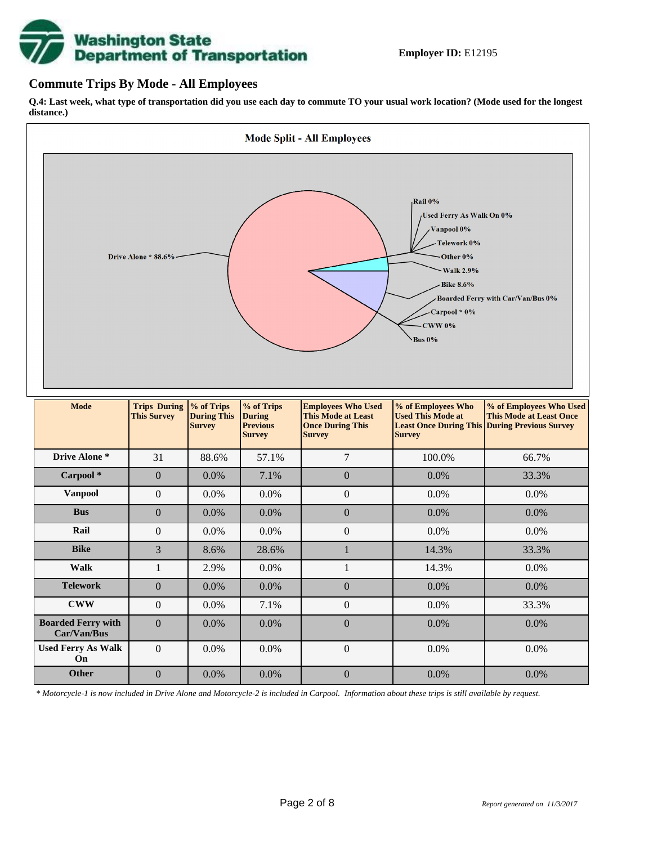# **Washington State<br>Department of Transportation**

## **Commute Trips By Mode - All Employees**

**Q.4: Last week, what type of transportation did you use each day to commute TO your usual work location? (Mode used for the longest distance.)**



*\* Motorcycle-1 is now included in Drive Alone and Motorcycle-2 is included in Carpool. Information about these trips is still available by request.*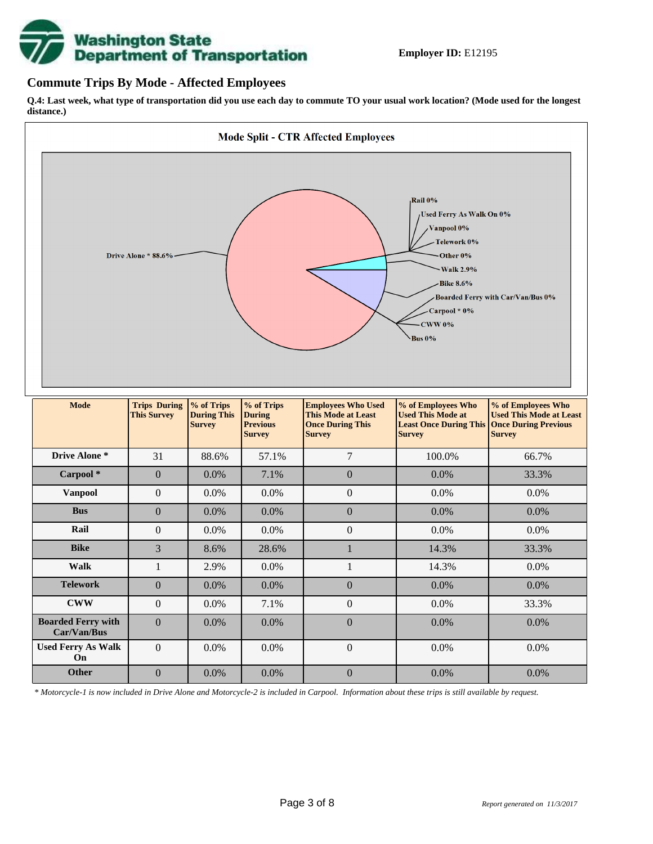

### **Commute Trips By Mode - Affected Employees**

**Q.4: Last week, what type of transportation did you use each day to commute TO your usual work location? (Mode used for the longest distance.)**



*\* Motorcycle-1 is now included in Drive Alone and Motorcycle-2 is included in Carpool. Information about these trips is still available by request.*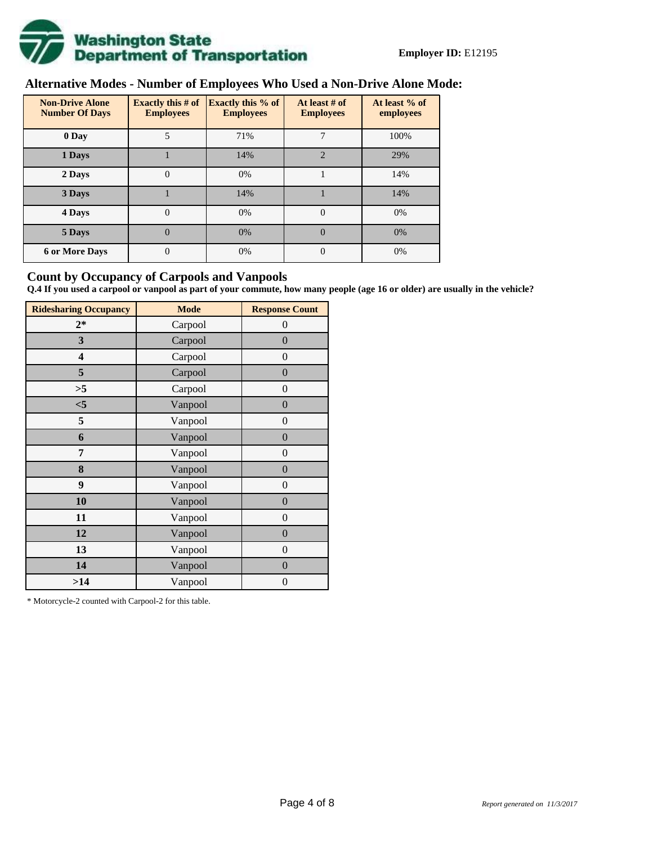

# **Alternative Modes - Number of Employees Who Used a Non-Drive Alone Mode:**

| <b>Non-Drive Alone</b><br><b>Number Of Days</b> | <b>Exactly this # of</b><br><b>Employees</b> | <b>Exactly this % of</b><br><b>Employees</b> | At least # of<br><b>Employees</b> | At least % of<br>employees |
|-------------------------------------------------|----------------------------------------------|----------------------------------------------|-----------------------------------|----------------------------|
| 0 Day                                           | 5                                            | 71%                                          |                                   | 100%                       |
| 1 Days                                          |                                              | 14%                                          | $\overline{2}$                    | 29%                        |
| 2 Days                                          | 0                                            | 0%                                           |                                   | 14%                        |
| 3 Days                                          |                                              | 14%                                          |                                   | 14%                        |
| 4 Days                                          | $\Omega$                                     | 0%                                           | $\Omega$                          | 0%                         |
| 5 Days                                          | 0                                            | 0%                                           | $\theta$                          | 0%                         |
| <b>6 or More Days</b>                           | $\theta$                                     | 0%                                           | $\Omega$                          | 0%                         |

## **Count by Occupancy of Carpools and Vanpools**

**Q.4 If you used a carpool or vanpool as part of your commute, how many people (age 16 or older) are usually in the vehicle?**

| <b>Ridesharing Occupancy</b> | <b>Mode</b> | <b>Response Count</b> |
|------------------------------|-------------|-----------------------|
| $2*$                         | Carpool     | $\theta$              |
| 3                            | Carpool     | $\overline{0}$        |
| 4                            | Carpool     | $\theta$              |
| 5                            | Carpool     | $\overline{0}$        |
| >5                           | Carpool     | $\overline{0}$        |
| $<$ 5                        | Vanpool     | $\overline{0}$        |
| 5                            | Vanpool     | $\overline{0}$        |
| 6                            | Vanpool     | $\boldsymbol{0}$      |
| 7                            | Vanpool     | $\overline{0}$        |
| 8                            | Vanpool     | $\overline{0}$        |
| 9                            | Vanpool     | $\overline{0}$        |
| 10                           | Vanpool     | $\overline{0}$        |
| 11                           | Vanpool     | $\overline{0}$        |
| 12                           | Vanpool     | $\boldsymbol{0}$      |
| 13                           | Vanpool     | $\boldsymbol{0}$      |
| 14                           | Vanpool     | $\overline{0}$        |
| >14                          | Vanpool     | $\boldsymbol{0}$      |

\* Motorcycle-2 counted with Carpool-2 for this table.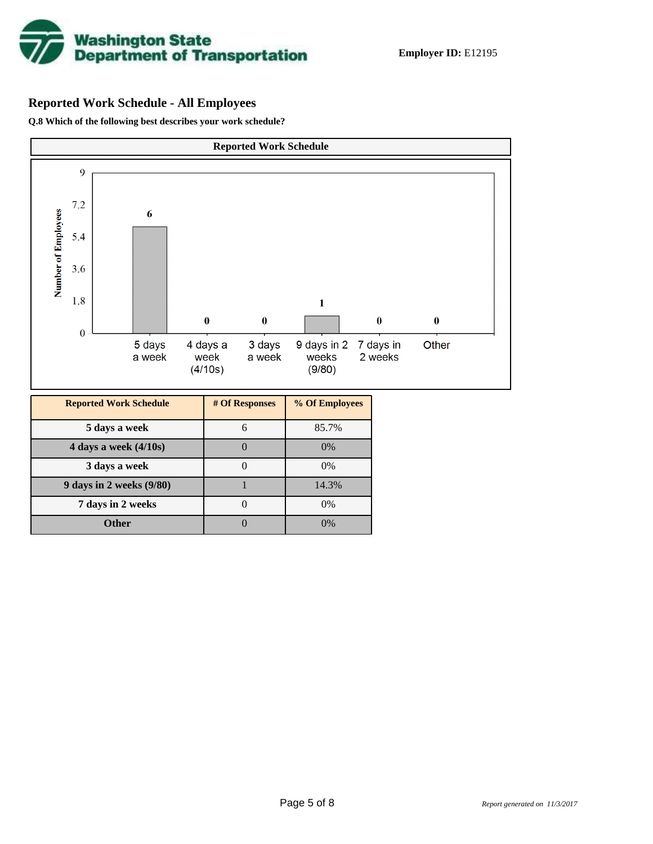

# **Reported Work Schedule - All Employees**

**Q.8 Which of the following best describes your work schedule?**

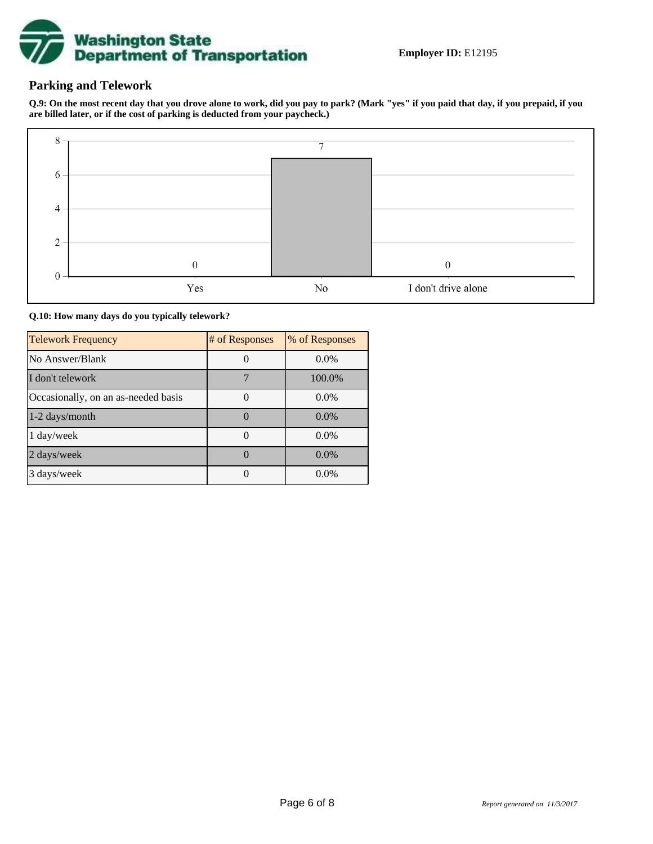

# **Parking and Telework**

**Q.9: On the most recent day that you drove alone to work, did you pay to park? (Mark "yes" if you paid that day, if you prepaid, if you are billed later, or if the cost of parking is deducted from your paycheck.)**



**Q.10: How many days do you typically telework?**

| <b>Telework Frequency</b>           | # of Responses | % of Responses |
|-------------------------------------|----------------|----------------|
| No Answer/Blank                     |                | $0.0\%$        |
| I don't telework                    |                | 100.0%         |
| Occasionally, on an as-needed basis |                | $0.0\%$        |
| 1-2 days/month                      |                | $0.0\%$        |
| 1 day/week                          |                | $0.0\%$        |
| 2 days/week                         |                | $0.0\%$        |
| 3 days/week                         |                | 0.0%           |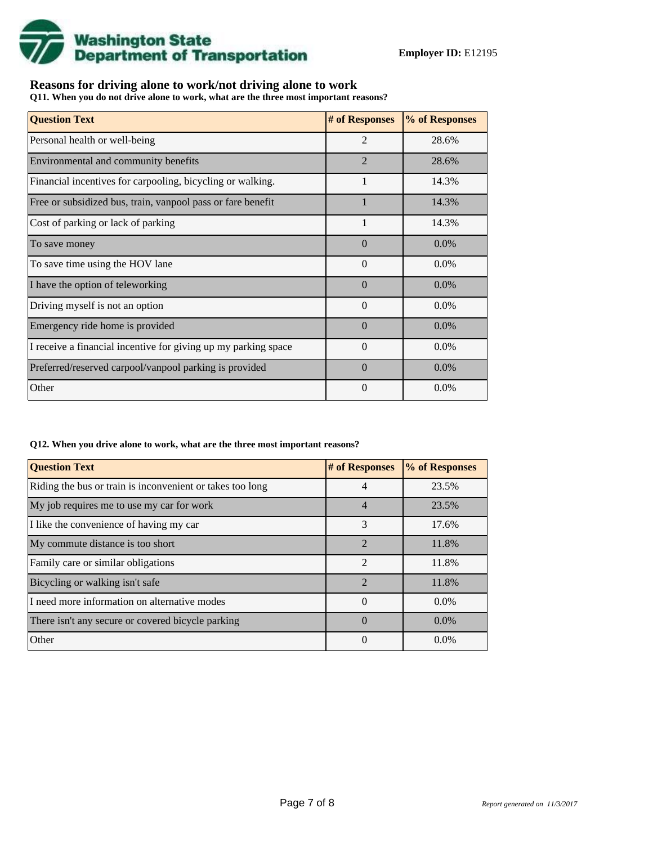

## **Reasons for driving alone to work/not driving alone to work**

**Q11. When you do not drive alone to work, what are the three most important reasons?**

| <b>Question Text</b>                                           | # of Responses | % of Responses |
|----------------------------------------------------------------|----------------|----------------|
| Personal health or well-being                                  | $\overline{2}$ | 28.6%          |
| Environmental and community benefits                           | $\overline{2}$ | 28.6%          |
| Financial incentives for carpooling, bicycling or walking.     | 1              | 14.3%          |
| Free or subsidized bus, train, vanpool pass or fare benefit    |                | 14.3%          |
| Cost of parking or lack of parking                             |                | 14.3%          |
| To save money                                                  | $\Omega$       | 0.0%           |
| To save time using the HOV lane                                | $\Omega$       | 0.0%           |
| I have the option of teleworking                               | $\Omega$       | $0.0\%$        |
| Driving myself is not an option                                | $\Omega$       | 0.0%           |
| Emergency ride home is provided                                | $\Omega$       | 0.0%           |
| I receive a financial incentive for giving up my parking space | $\theta$       | 0.0%           |
| Preferred/reserved carpool/vanpool parking is provided         | $\Omega$       | 0.0%           |
| Other                                                          | $\theta$       | $0.0\%$        |

#### **Q12. When you drive alone to work, what are the three most important reasons?**

| <b>Question Text</b>                                      | # of Responses | % of Responses |
|-----------------------------------------------------------|----------------|----------------|
| Riding the bus or train is inconvenient or takes too long | 4              | 23.5%          |
| My job requires me to use my car for work                 | 4              | 23.5%          |
| I like the convenience of having my car                   | 3              | 17.6%          |
| My commute distance is too short                          | $\mathfrak{D}$ | 11.8%          |
| Family care or similar obligations                        | $\mathfrak{D}$ | 11.8%          |
| Bicycling or walking isn't safe                           | $\mathfrak{D}$ | 11.8%          |
| I need more information on alternative modes              | $\theta$       | $0.0\%$        |
| There isn't any secure or covered bicycle parking         | $\Omega$       | $0.0\%$        |
| Other                                                     | $\theta$       | $0.0\%$        |